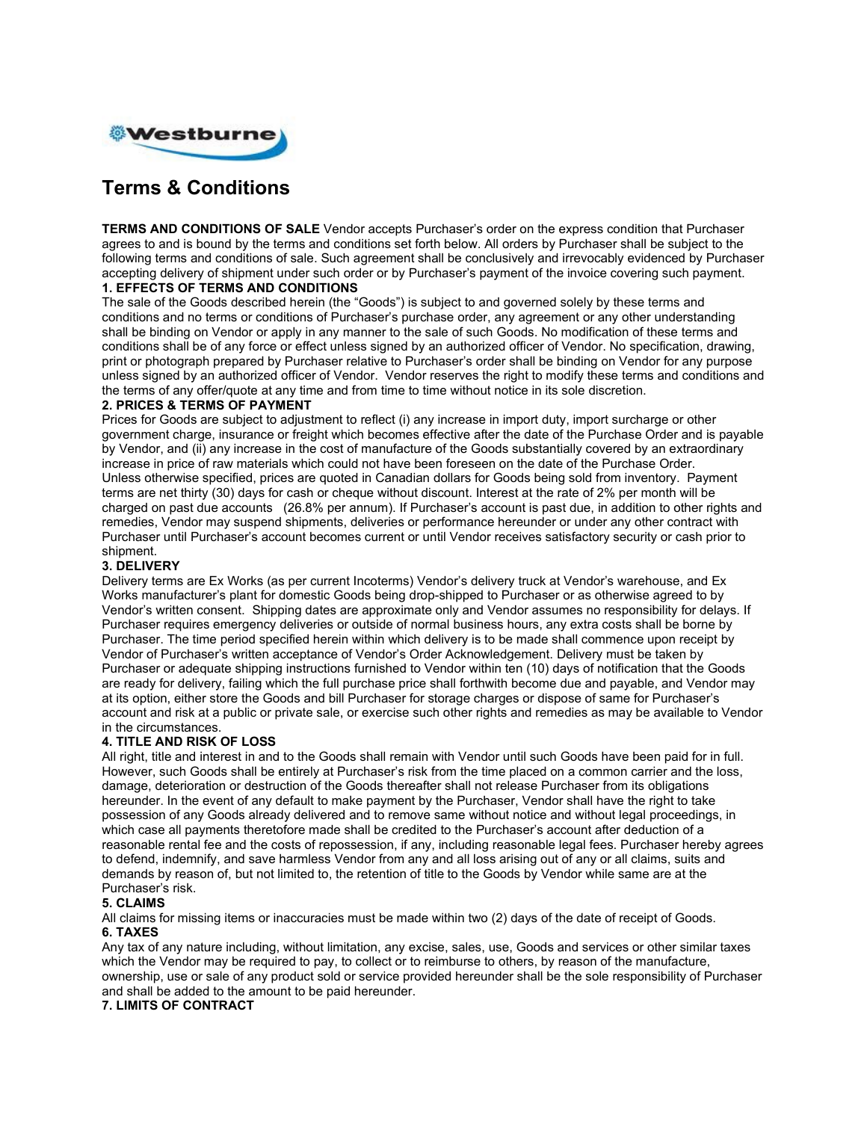

# **Terms & Conditions**

**TERMS AND CONDITIONS OF SALE** Vendor accepts Purchaser's order on the express condition that Purchaser agrees to and is bound by the terms and conditions set forth below. All orders by Purchaser shall be subject to the following terms and conditions of sale. Such agreement shall be conclusively and irrevocably evidenced by Purchaser accepting delivery of shipment under such order or by Purchaser's payment of the invoice covering such payment. **1. EFFECTS OF TERMS AND CONDITIONS** 

#### The sale of the Goods described herein (the "Goods") is subject to and governed solely by these terms and conditions and no terms or conditions of Purchaser's purchase order, any agreement or any other understanding shall be binding on Vendor or apply in any manner to the sale of such Goods. No modification of these terms and conditions shall be of any force or effect unless signed by an authorized officer of Vendor. No specification, drawing, print or photograph prepared by Purchaser relative to Purchaser's order shall be binding on Vendor for any purpose

unless signed by an authorized officer of Vendor. Vendor reserves the right to modify these terms and conditions and the terms of any offer/quote at any time and from time to time without notice in its sole discretion.

# **2. PRICES & TERMS OF PAYMENT**

Prices for Goods are subject to adjustment to reflect (i) any increase in import duty, import surcharge or other government charge, insurance or freight which becomes effective after the date of the Purchase Order and is payable by Vendor, and (ii) any increase in the cost of manufacture of the Goods substantially covered by an extraordinary increase in price of raw materials which could not have been foreseen on the date of the Purchase Order. Unless otherwise specified, prices are quoted in Canadian dollars for Goods being sold from inventory. Payment terms are net thirty (30) days for cash or cheque without discount. Interest at the rate of 2% per month will be charged on past due accounts (26.8% per annum). If Purchaser's account is past due, in addition to other rights and remedies, Vendor may suspend shipments, deliveries or performance hereunder or under any other contract with Purchaser until Purchaser's account becomes current or until Vendor receives satisfactory security or cash prior to shipment.

## **3. DELIVERY**

Delivery terms are Ex Works (as per current Incoterms) Vendor's delivery truck at Vendor's warehouse, and Ex Works manufacturer's plant for domestic Goods being drop-shipped to Purchaser or as otherwise agreed to by Vendor's written consent. Shipping dates are approximate only and Vendor assumes no responsibility for delays. If Purchaser requires emergency deliveries or outside of normal business hours, any extra costs shall be borne by Purchaser. The time period specified herein within which delivery is to be made shall commence upon receipt by Vendor of Purchaser's written acceptance of Vendor's Order Acknowledgement. Delivery must be taken by Purchaser or adequate shipping instructions furnished to Vendor within ten (10) days of notification that the Goods are ready for delivery, failing which the full purchase price shall forthwith become due and payable, and Vendor may at its option, either store the Goods and bill Purchaser for storage charges or dispose of same for Purchaser's account and risk at a public or private sale, or exercise such other rights and remedies as may be available to Vendor in the circumstances.

#### **4. TITLE AND RISK OF LOSS**

All right, title and interest in and to the Goods shall remain with Vendor until such Goods have been paid for in full. However, such Goods shall be entirely at Purchaser's risk from the time placed on a common carrier and the loss, damage, deterioration or destruction of the Goods thereafter shall not release Purchaser from its obligations hereunder. In the event of any default to make payment by the Purchaser, Vendor shall have the right to take possession of any Goods already delivered and to remove same without notice and without legal proceedings, in which case all payments theretofore made shall be credited to the Purchaser's account after deduction of a reasonable rental fee and the costs of repossession, if any, including reasonable legal fees. Purchaser hereby agrees to defend, indemnify, and save harmless Vendor from any and all loss arising out of any or all claims, suits and demands by reason of, but not limited to, the retention of title to the Goods by Vendor while same are at the Purchaser's risk.

#### **5. CLAIMS**

All claims for missing items or inaccuracies must be made within two (2) days of the date of receipt of Goods. **6. TAXES** 

Any tax of any nature including, without limitation, any excise, sales, use, Goods and services or other similar taxes which the Vendor may be required to pay, to collect or to reimburse to others, by reason of the manufacture, ownership, use or sale of any product sold or service provided hereunder shall be the sole responsibility of Purchaser and shall be added to the amount to be paid hereunder.

# **7. LIMITS OF CONTRACT**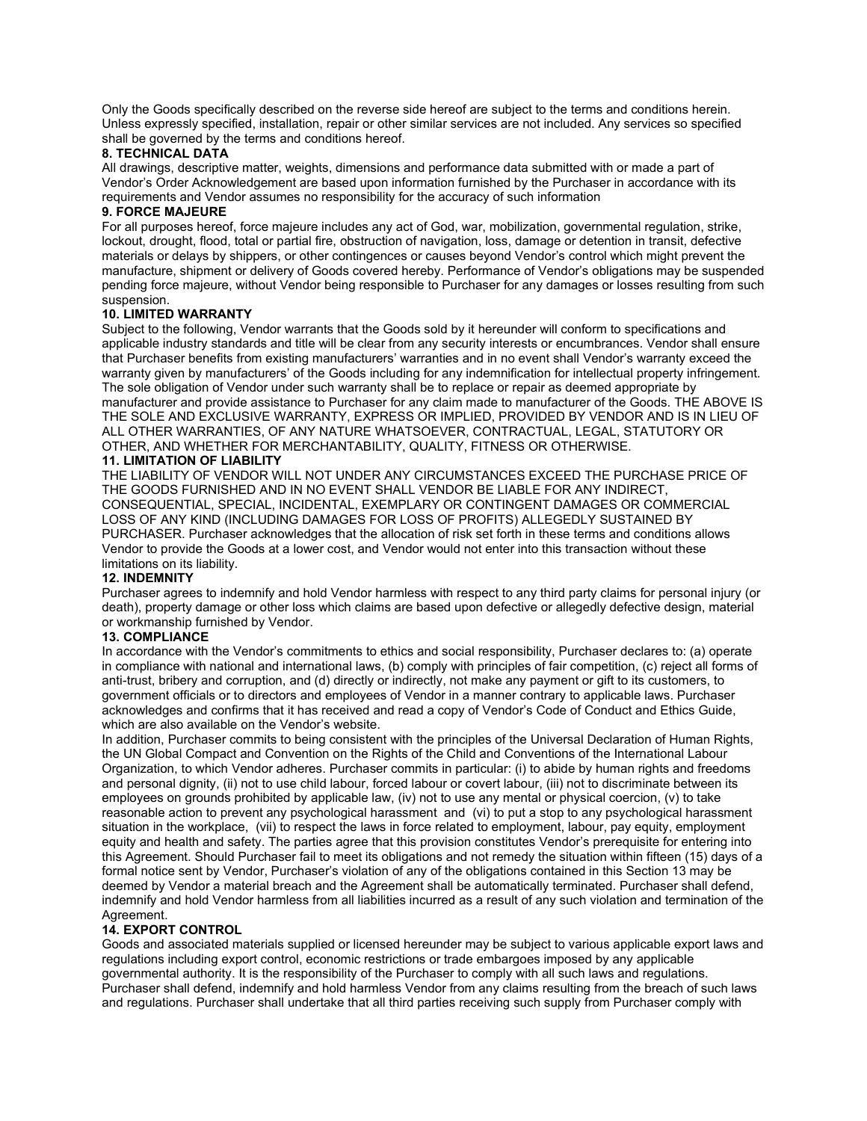Only the Goods specifically described on the reverse side hereof are subject to the terms and conditions herein. Unless expressly specified, installation, repair or other similar services are not included. Any services so specified shall be governed by the terms and conditions hereof.

#### **8. TECHNICAL DATA**

All drawings, descriptive matter, weights, dimensions and performance data submitted with or made a part of Vendor's Order Acknowledgement are based upon information furnished by the Purchaser in accordance with its requirements and Vendor assumes no responsibility for the accuracy of such information

# **9. FORCE MAJEURE**

For all purposes hereof, force majeure includes any act of God, war, mobilization, governmental regulation, strike, lockout, drought, flood, total or partial fire, obstruction of navigation, loss, damage or detention in transit, defective materials or delays by shippers, or other contingences or causes beyond Vendor's control which might prevent the manufacture, shipment or delivery of Goods covered hereby. Performance of Vendor's obligations may be suspended pending force majeure, without Vendor being responsible to Purchaser for any damages or losses resulting from such suspension.

#### **10. LIMITED WARRANTY**

Subject to the following, Vendor warrants that the Goods sold by it hereunder will conform to specifications and applicable industry standards and title will be clear from any security interests or encumbrances. Vendor shall ensure that Purchaser benefits from existing manufacturers' warranties and in no event shall Vendor's warranty exceed the warranty given by manufacturers' of the Goods including for any indemnification for intellectual property infringement. The sole obligation of Vendor under such warranty shall be to replace or repair as deemed appropriate by manufacturer and provide assistance to Purchaser for any claim made to manufacturer of the Goods. THE ABOVE IS THE SOLE AND EXCLUSIVE WARRANTY, EXPRESS OR IMPLIED, PROVIDED BY VENDOR AND IS IN LIEU OF ALL OTHER WARRANTIES, OF ANY NATURE WHATSOEVER, CONTRACTUAL, LEGAL, STATUTORY OR OTHER, AND WHETHER FOR MERCHANTABILITY, QUALITY, FITNESS OR OTHERWISE.

# **11. LIMITATION OF LIABILITY**

THE LIABILITY OF VENDOR WILL NOT UNDER ANY CIRCUMSTANCES EXCEED THE PURCHASE PRICE OF THE GOODS FURNISHED AND IN NO EVENT SHALL VENDOR BE LIABLE FOR ANY INDIRECT, CONSEQUENTIAL, SPECIAL, INCIDENTAL, EXEMPLARY OR CONTINGENT DAMAGES OR COMMERCIAL LOSS OF ANY KIND (INCLUDING DAMAGES FOR LOSS OF PROFITS) ALLEGEDLY SUSTAINED BY PURCHASER. Purchaser acknowledges that the allocation of risk set forth in these terms and conditions allows Vendor to provide the Goods at a lower cost, and Vendor would not enter into this transaction without these limitations on its liability.

## **12. INDEMNITY**

Purchaser agrees to indemnify and hold Vendor harmless with respect to any third party claims for personal injury (or death), property damage or other loss which claims are based upon defective or allegedly defective design, material or workmanship furnished by Vendor.

# **13. COMPLIANCE**

In accordance with the Vendor's commitments to ethics and social responsibility, Purchaser declares to: (a) operate in compliance with national and international laws, (b) comply with principles of fair competition, (c) reject all forms of anti-trust, bribery and corruption, and (d) directly or indirectly, not make any payment or gift to its customers, to government officials or to directors and employees of Vendor in a manner contrary to applicable laws. Purchaser acknowledges and confirms that it has received and read a copy of Vendor's Code of Conduct and Ethics Guide, which are also available on the Vendor's website.

In addition, Purchaser commits to being consistent with the principles of the Universal Declaration of Human Rights, the UN Global Compact and Convention on the Rights of the Child and Conventions of the International Labour Organization, to which Vendor adheres. Purchaser commits in particular: (i) to abide by human rights and freedoms and personal dignity, (ii) not to use child labour, forced labour or covert labour, (iii) not to discriminate between its employees on grounds prohibited by applicable law, (iv) not to use any mental or physical coercion, (v) to take reasonable action to prevent any psychological harassment and (vi) to put a stop to any psychological harassment situation in the workplace, (vii) to respect the laws in force related to employment, labour, pay equity, employment equity and health and safety. The parties agree that this provision constitutes Vendor's prerequisite for entering into this Agreement. Should Purchaser fail to meet its obligations and not remedy the situation within fifteen (15) days of a formal notice sent by Vendor, Purchaser's violation of any of the obligations contained in this Section 13 may be deemed by Vendor a material breach and the Agreement shall be automatically terminated. Purchaser shall defend, indemnify and hold Vendor harmless from all liabilities incurred as a result of any such violation and termination of the Agreement.

#### **14. EXPORT CONTROL**

Goods and associated materials supplied or licensed hereunder may be subject to various applicable export laws and regulations including export control, economic restrictions or trade embargoes imposed by any applicable governmental authority. It is the responsibility of the Purchaser to comply with all such laws and regulations. Purchaser shall defend, indemnify and hold harmless Vendor from any claims resulting from the breach of such laws and regulations. Purchaser shall undertake that all third parties receiving such supply from Purchaser comply with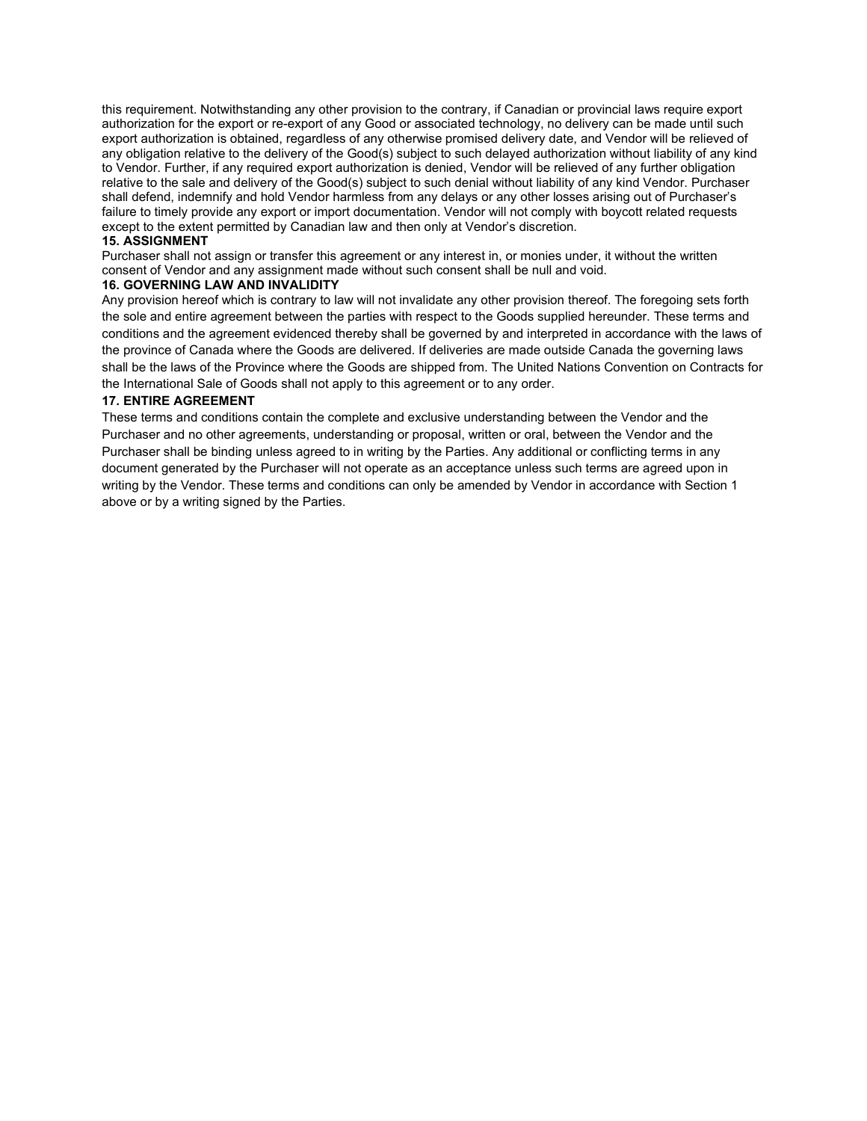this requirement. Notwithstanding any other provision to the contrary, if Canadian or provincial laws require export authorization for the export or re-export of any Good or associated technology, no delivery can be made until such export authorization is obtained, regardless of any otherwise promised delivery date, and Vendor will be relieved of any obligation relative to the delivery of the Good(s) subject to such delayed authorization without liability of any kind to Vendor. Further, if any required export authorization is denied, Vendor will be relieved of any further obligation relative to the sale and delivery of the Good(s) subject to such denial without liability of any kind Vendor. Purchaser shall defend, indemnify and hold Vendor harmless from any delays or any other losses arising out of Purchaser's failure to timely provide any export or import documentation. Vendor will not comply with boycott related requests except to the extent permitted by Canadian law and then only at Vendor's discretion.

# **15. ASSIGNMENT**

Purchaser shall not assign or transfer this agreement or any interest in, or monies under, it without the written consent of Vendor and any assignment made without such consent shall be null and void.

#### **16. GOVERNING LAW AND INVALIDITY**

Any provision hereof which is contrary to law will not invalidate any other provision thereof. The foregoing sets forth the sole and entire agreement between the parties with respect to the Goods supplied hereunder. These terms and conditions and the agreement evidenced thereby shall be governed by and interpreted in accordance with the laws of the province of Canada where the Goods are delivered. If deliveries are made outside Canada the governing laws shall be the laws of the Province where the Goods are shipped from. The United Nations Convention on Contracts for the International Sale of Goods shall not apply to this agreement or to any order.

#### **17. ENTIRE AGREEMENT**

These terms and conditions contain the complete and exclusive understanding between the Vendor and the Purchaser and no other agreements, understanding or proposal, written or oral, between the Vendor and the Purchaser shall be binding unless agreed to in writing by the Parties. Any additional or conflicting terms in any document generated by the Purchaser will not operate as an acceptance unless such terms are agreed upon in writing by the Vendor. These terms and conditions can only be amended by Vendor in accordance with Section 1 above or by a writing signed by the Parties.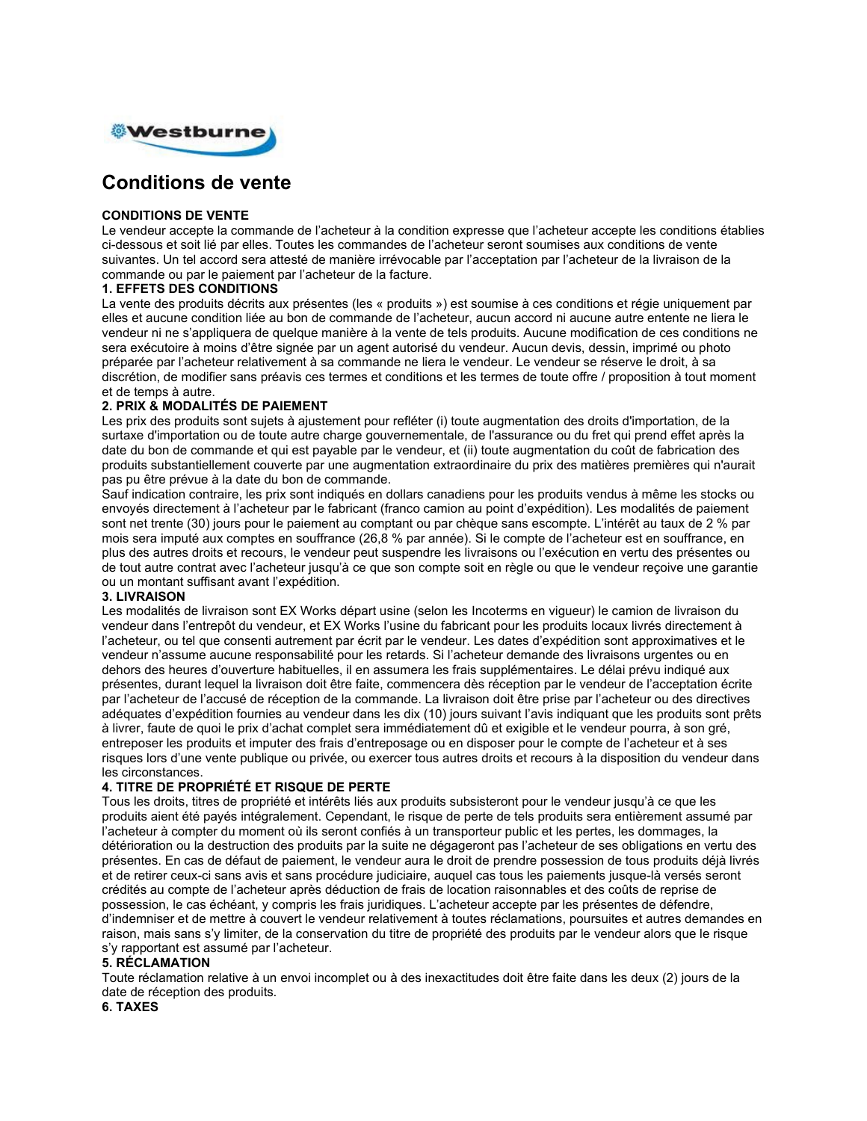

# **Conditions de vente**

#### **CONDITIONS DE VENTE**

Le vendeur accepte la commande de l'acheteur à la condition expresse que l'acheteur accepte les conditions établies ci-dessous et soit lié par elles. Toutes les commandes de l'acheteur seront soumises aux conditions de vente suivantes. Un tel accord sera attesté de manière irrévocable par l'acceptation par l'acheteur de la livraison de la commande ou par le paiement par l'acheteur de la facture.

#### **1. EFFETS DES CONDITIONS**

La vente des produits décrits aux présentes (les « produits ») est soumise à ces conditions et régie uniquement par elles et aucune condition liée au bon de commande de l'acheteur, aucun accord ni aucune autre entente ne liera le vendeur ni ne s'appliquera de quelque manière à la vente de tels produits. Aucune modification de ces conditions ne sera exécutoire à moins d'être signée par un agent autorisé du vendeur. Aucun devis, dessin, imprimé ou photo préparée par l'acheteur relativement à sa commande ne liera le vendeur. Le vendeur se réserve le droit, à sa discrétion, de modifier sans préavis ces termes et conditions et les termes de toute offre / proposition à tout moment et de temps à autre.

# **2. PRIX & MODALITÉS DE PAIEMENT**

Les prix des produits sont sujets à ajustement pour refléter (i) toute augmentation des droits d'importation, de la surtaxe d'importation ou de toute autre charge gouvernementale, de l'assurance ou du fret qui prend effet après la date du bon de commande et qui est payable par le vendeur, et (ii) toute augmentation du coût de fabrication des produits substantiellement couverte par une augmentation extraordinaire du prix des matières premières qui n'aurait pas pu être prévue à la date du bon de commande.

Sauf indication contraire, les prix sont indiqués en dollars canadiens pour les produits vendus à même les stocks ou envoyés directement à l'acheteur par le fabricant (franco camion au point d'expédition). Les modalités de paiement sont net trente (30) jours pour le paiement au comptant ou par chèque sans escompte. L'intérêt au taux de 2 % par mois sera imputé aux comptes en souffrance (26,8 % par année). Si le compte de l'acheteur est en souffrance, en plus des autres droits et recours, le vendeur peut suspendre les livraisons ou l'exécution en vertu des présentes ou de tout autre contrat avec l'acheteur jusqu'à ce que son compte soit en règle ou que le vendeur reçoive une garantie ou un montant suffisant avant l'expédition.

#### **3. LIVRAISON**

Les modalités de livraison sont EX Works départ usine (selon les Incoterms en vigueur) le camion de livraison du vendeur dans l'entrepôt du vendeur, et EX Works l'usine du fabricant pour les produits locaux livrés directement à l'acheteur, ou tel que consenti autrement par écrit par le vendeur. Les dates d'expédition sont approximatives et le vendeur n'assume aucune responsabilité pour les retards. Si l'acheteur demande des livraisons urgentes ou en dehors des heures d'ouverture habituelles, il en assumera les frais supplémentaires. Le délai prévu indiqué aux présentes, durant lequel la livraison doit être faite, commencera dès réception par le vendeur de l'acceptation écrite par l'acheteur de l'accusé de réception de la commande. La livraison doit être prise par l'acheteur ou des directives adéquates d'expédition fournies au vendeur dans les dix (10) jours suivant l'avis indiquant que les produits sont prêts à livrer, faute de quoi le prix d'achat complet sera immédiatement dû et exigible et le vendeur pourra, à son gré, entreposer les produits et imputer des frais d'entreposage ou en disposer pour le compte de l'acheteur et à ses risques lors d'une vente publique ou privée, ou exercer tous autres droits et recours à la disposition du vendeur dans les circonstances.

#### **4. TITRE DE PROPRIÉTÉ ET RISQUE DE PERTE**

Tous les droits, titres de propriété et intérêts liés aux produits subsisteront pour le vendeur jusqu'à ce que les produits aient été payés intégralement. Cependant, le risque de perte de tels produits sera entièrement assumé par l'acheteur à compter du moment où ils seront confiés à un transporteur public et les pertes, les dommages, la détérioration ou la destruction des produits par la suite ne dégageront pas l'acheteur de ses obligations en vertu des présentes. En cas de défaut de paiement, le vendeur aura le droit de prendre possession de tous produits déjà livrés et de retirer ceux-ci sans avis et sans procédure judiciaire, auquel cas tous les paiements jusque-là versés seront crédités au compte de l'acheteur après déduction de frais de location raisonnables et des coûts de reprise de possession, le cas échéant, y compris les frais juridiques. L'acheteur accepte par les présentes de défendre, d'indemniser et de mettre à couvert le vendeur relativement à toutes réclamations, poursuites et autres demandes en raison, mais sans s'y limiter, de la conservation du titre de propriété des produits par le vendeur alors que le risque s'y rapportant est assumé par l'acheteur.

#### **5. RÉCLAMATION**

Toute réclamation relative à un envoi incomplet ou à des inexactitudes doit être faite dans les deux (2) jours de la date de réception des produits.

# **6. TAXES**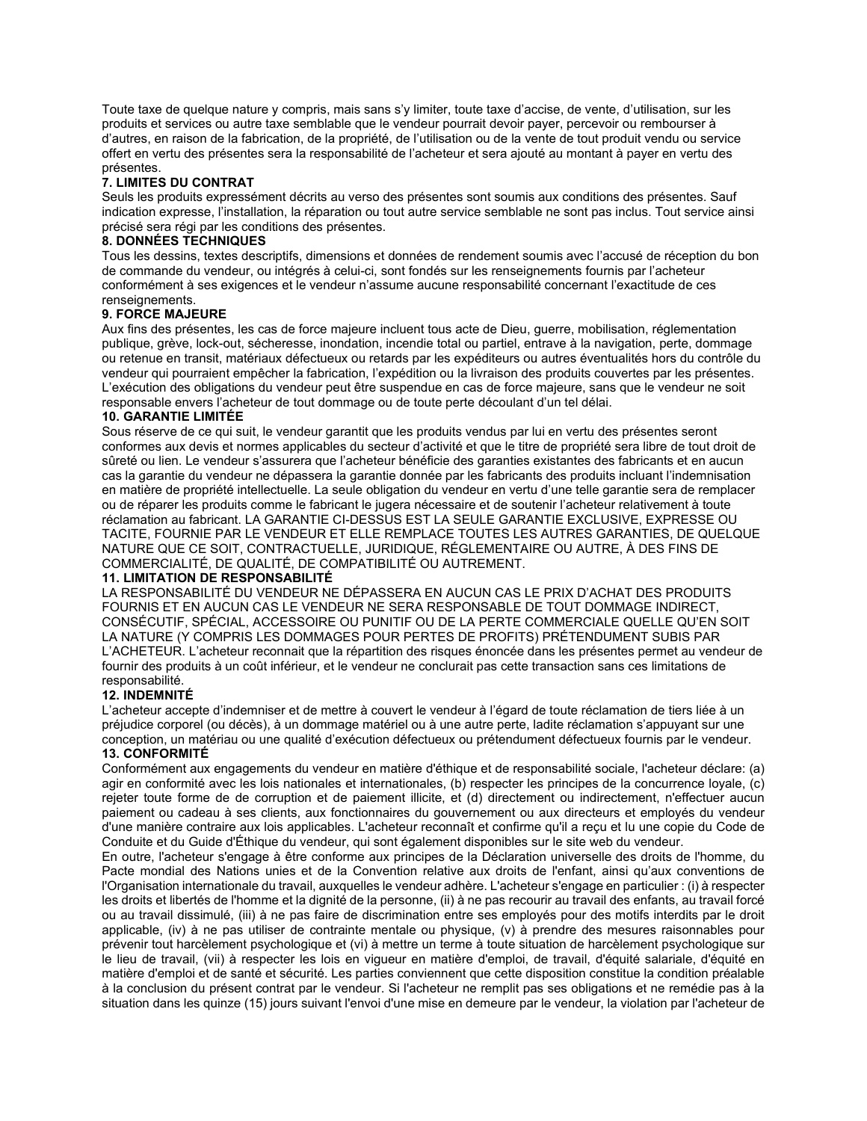Toute taxe de quelque nature y compris, mais sans s'y limiter, toute taxe d'accise, de vente, d'utilisation, sur les produits et services ou autre taxe semblable que le vendeur pourrait devoir payer, percevoir ou rembourser à d'autres, en raison de la fabrication, de la propriété, de l'utilisation ou de la vente de tout produit vendu ou service offert en vertu des présentes sera la responsabilité de l'acheteur et sera ajouté au montant à payer en vertu des présentes.

#### **7. LIMITES DU CONTRAT**

Seuls les produits expressément décrits au verso des présentes sont soumis aux conditions des présentes. Sauf indication expresse, l'installation, la réparation ou tout autre service semblable ne sont pas inclus. Tout service ainsi précisé sera régi par les conditions des présentes.

# **8. DONNÉES TECHNIQUES**

Tous les dessins, textes descriptifs, dimensions et données de rendement soumis avec l'accusé de réception du bon de commande du vendeur, ou intégrés à celui-ci, sont fondés sur les renseignements fournis par l'acheteur conformément à ses exigences et le vendeur n'assume aucune responsabilité concernant l'exactitude de ces renseignements.

#### **9. FORCE MAJEURE**

Aux fins des présentes, les cas de force majeure incluent tous acte de Dieu, guerre, mobilisation, réglementation publique, grève, lock-out, sécheresse, inondation, incendie total ou partiel, entrave à la navigation, perte, dommage ou retenue en transit, matériaux défectueux ou retards par les expéditeurs ou autres éventualités hors du contrôle du vendeur qui pourraient empêcher la fabrication, l'expédition ou la livraison des produits couvertes par les présentes. L'exécution des obligations du vendeur peut être suspendue en cas de force majeure, sans que le vendeur ne soit responsable envers l'acheteur de tout dommage ou de toute perte découlant d'un tel délai.

#### **10. GARANTIE LIMITÉE**

Sous réserve de ce qui suit, le vendeur garantit que les produits vendus par lui en vertu des présentes seront conformes aux devis et normes applicables du secteur d'activité et que le titre de propriété sera libre de tout droit de sûreté ou lien. Le vendeur s'assurera que l'acheteur bénéficie des garanties existantes des fabricants et en aucun cas la garantie du vendeur ne dépassera la garantie donnée par les fabricants des produits incluant l'indemnisation en matière de propriété intellectuelle. La seule obligation du vendeur en vertu d'une telle garantie sera de remplacer ou de réparer les produits comme le fabricant le jugera nécessaire et de soutenir l'acheteur relativement à toute réclamation au fabricant. LA GARANTIE CI-DESSUS EST LA SEULE GARANTIE EXCLUSIVE, EXPRESSE OU TACITE, FOURNIE PAR LE VENDEUR ET ELLE REMPLACE TOUTES LES AUTRES GARANTIES, DE QUELQUE NATURE QUE CE SOIT, CONTRACTUELLE, JURIDIQUE, RÉGLEMENTAIRE OU AUTRE, À DES FINS DE COMMERCIALITÉ, DE QUALITÉ, DE COMPATIBILITÉ OU AUTREMENT.

#### **11. LIMITATION DE RESPONSABILITÉ**

LA RESPONSABILITÉ DU VENDEUR NE DÉPASSERA EN AUCUN CAS LE PRIX D'ACHAT DES PRODUITS FOURNIS ET EN AUCUN CAS LE VENDEUR NE SERA RESPONSABLE DE TOUT DOMMAGE INDIRECT, CONSÉCUTIF, SPÉCIAL, ACCESSOIRE OU PUNITIF OU DE LA PERTE COMMERCIALE QUELLE QU'EN SOIT LA NATURE (Y COMPRIS LES DOMMAGES POUR PERTES DE PROFITS) PRÉTENDUMENT SUBIS PAR L'ACHETEUR. L'acheteur reconnait que la répartition des risques énoncée dans les présentes permet au vendeur de fournir des produits à un coût inférieur, et le vendeur ne conclurait pas cette transaction sans ces limitations de responsabilité.

#### **12. INDEMNITÉ**

L'acheteur accepte d'indemniser et de mettre à couvert le vendeur à l'égard de toute réclamation de tiers liée à un préjudice corporel (ou décès), à un dommage matériel ou à une autre perte, ladite réclamation s'appuyant sur une conception, un matériau ou une qualité d'exécution défectueux ou prétendument défectueux fournis par le vendeur. **13. CONFORMITÉ**

Conformément aux engagements du vendeur en matière d'éthique et de responsabilité sociale, l'acheteur déclare: (a) agir en conformité avec les lois nationales et internationales, (b) respecter les principes de la concurrence loyale, (c) rejeter toute forme de de corruption et de paiement illicite, et (d) directement ou indirectement, n'effectuer aucun paiement ou cadeau à ses clients, aux fonctionnaires du gouvernement ou aux directeurs et employés du vendeur d'une manière contraire aux lois applicables. L'acheteur reconnaît et confirme qu'il a reçu et lu une copie du Code de Conduite et du Guide d'Éthique du vendeur, qui sont également disponibles sur le site web du vendeur.

En outre, l'acheteur s'engage à être conforme aux principes de la Déclaration universelle des droits de l'homme, du Pacte mondial des Nations unies et de la Convention relative aux droits de l'enfant, ainsi qu'aux conventions de l'Organisation internationale du travail, auxquelles le vendeur adhère. L'acheteur s'engage en particulier : (i) à respecter les droits et libertés de l'homme et la dignité de la personne, (ii) à ne pas recourir au travail des enfants, au travail forcé ou au travail dissimulé, (iii) à ne pas faire de discrimination entre ses employés pour des motifs interdits par le droit applicable, (iv) à ne pas utiliser de contrainte mentale ou physique, (v) à prendre des mesures raisonnables pour prévenir tout harcèlement psychologique et (vi) à mettre un terme à toute situation de harcèlement psychologique sur le lieu de travail, (vii) à respecter les lois en vigueur en matière d'emploi, de travail, d'équité salariale, d'équité en matière d'emploi et de santé et sécurité. Les parties conviennent que cette disposition constitue la condition préalable à la conclusion du présent contrat par le vendeur. Si l'acheteur ne remplit pas ses obligations et ne remédie pas à la situation dans les quinze (15) jours suivant l'envoi d'une mise en demeure par le vendeur, la violation par l'acheteur de